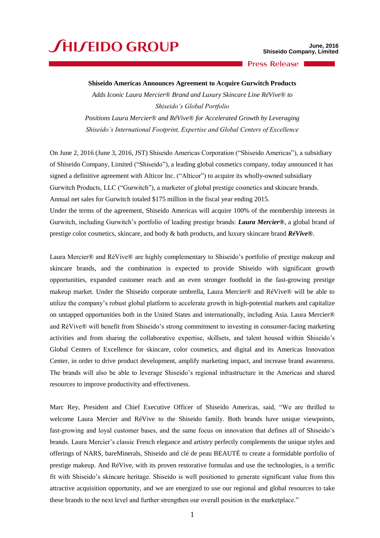## **JHIJEIDO GROUP**

**Press Release** 

## **Shiseido Americas Announces Agreement to Acquire Gurwitch Products**

*Adds Iconic Laura Mercier® Brand and Luxury Skincare Line RéVive® to Shiseido's Global Portfolio*

*Positions Laura Mercier® and RéVive® for Accelerated Growth by Leveraging Shiseido's International Footprint, Expertise and Global Centers of Excellence*

On June 2, 2016 (June 3, 2016, JST) Shiseido Americas Corporation ("Shiseido Americas"), a subsidiary of Shiseido Company, Limited ("Shiseido"), a leading global cosmetics company, today announced it has signed a definitive agreement with Alticor Inc. ("Alticor") to acquire its wholly-owned subsidiary Gurwitch Products, LLC ("Gurwitch"), a marketer of global prestige cosmetics and skincare brands. Annual net sales for Gurwitch totaled \$175 million in the fiscal year ending 2015. Under the terms of the agreement, Shiseido Americas will acquire 100% of the membership interests in

Gurwitch, including Gurwitch's portfolio of leading prestige brands: *Laura Mercier®*, a global brand of prestige color cosmetics, skincare, and body & bath products, and luxury skincare brand *RéVive®*.

Laura Mercier® and RéVive® are highly complementary to Shiseido's portfolio of prestige makeup and skincare brands, and the combination is expected to provide Shiseido with significant growth opportunities, expanded customer reach and an even stronger foothold in the fast-growing prestige makeup market. Under the Shiseido corporate umbrella, Laura Mercier® and RéVive® will be able to utilize the company's robust global platform to accelerate growth in high-potential markets and capitalize on untapped opportunities both in the United States and internationally, including Asia. Laura Mercier® and RéVive® will benefit from Shiseido's strong commitment to investing in consumer-facing marketing activities and from sharing the collaborative expertise, skillsets, and talent housed within Shiseido's Global Centers of Excellence for skincare, color cosmetics, and digital and its Americas Innovation Center, in order to drive product development, amplify marketing impact, and increase brand awareness. The brands will also be able to leverage Shiseido's regional infrastructure in the Americas and shared resources to improve productivity and effectiveness.

Marc Rey, President and Chief Executive Officer of Shiseido Americas, said, "We are thrilled to welcome Laura Mercier and RéVive to the Shiseido family. Both brands have unique viewpoints, fast-growing and loyal customer bases, and the same focus on innovation that defines all of Shiseido's brands. Laura Mercier's classic French elegance and artistry perfectly complements the unique styles and offerings of NARS, bareMinerals, Shiseido and clé de peau BEAUTÉ to create a formidable portfolio of prestige makeup. And RéVive, with its proven restorative formulas and use the technologies, is a terrific fit with Shiseido's skincare heritage. Shiseido is well positioned to generate significant value from this attractive acquisition opportunity, and we are energized to use our regional and global resources to take these brands to the next level and further strengthen our overall position in the marketplace."